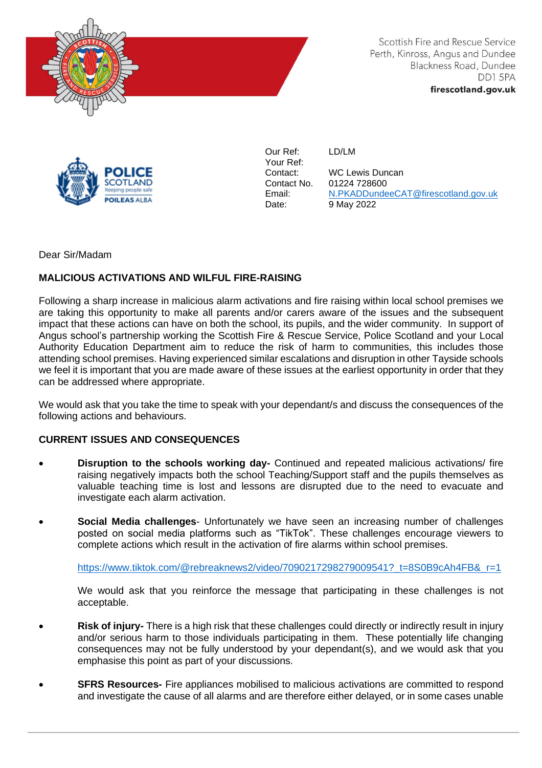

Scottish Fire and Rescue Service Perth, Kinross, Angus and Dundee Blackness Road, Dundee DD15PA firescotland.gov.uk



Our Ref: Your Ref: Contact: Contact No. Email: Date:

LD/LM

WC Lewis Duncan 01224 728600 [N.PKADDundeeCAT@firescotland.gov.uk](mailto:N.PKADDundeeCAT@firescotland.gov.uk) 9 May 2022

Dear Sir/Madam

## **MALICIOUS ACTIVATIONS AND WILFUL FIRE-RAISING**

Following a sharp increase in malicious alarm activations and fire raising within local school premises we are taking this opportunity to make all parents and/or carers aware of the issues and the subsequent impact that these actions can have on both the school, its pupils, and the wider community. In support of Angus school's partnership working the Scottish Fire & Rescue Service, Police Scotland and your Local Authority Education Department aim to reduce the risk of harm to communities, this includes those attending school premises. Having experienced similar escalations and disruption in other Tayside schools we feel it is important that you are made aware of these issues at the earliest opportunity in order that they can be addressed where appropriate.

We would ask that you take the time to speak with your dependant/s and discuss the consequences of the following actions and behaviours.

## **CURRENT ISSUES AND CONSEQUENCES**

- **Disruption to the schools working day-** Continued and repeated malicious activations/ fire raising negatively impacts both the school Teaching/Support staff and the pupils themselves as valuable teaching time is lost and lessons are disrupted due to the need to evacuate and investigate each alarm activation.
- **Social Media challenges** Unfortunately we have seen an increasing number of challenges posted on social media platforms such as "TikTok". These challenges encourage viewers to complete actions which result in the activation of fire alarms within school premises.

[https://www.tiktok.com/@rebreaknews2/video/7090217298279009541?\\_t=8S0B9cAh4FB&\\_r=1](https://www.tiktok.com/@rebreaknews2/video/7090217298279009541?_t=8S0B9cAh4FB&_r=1)

We would ask that you reinforce the message that participating in these challenges is not acceptable.

- **Risk of injury-** There is a high risk that these challenges could directly or indirectly result in injury and/or serious harm to those individuals participating in them. These potentially life changing consequences may not be fully understood by your dependant(s), and we would ask that you emphasise this point as part of your discussions.
- **SFRS Resources-** Fire appliances mobilised to malicious activations are committed to respond and investigate the cause of all alarms and are therefore either delayed, or in some cases unable